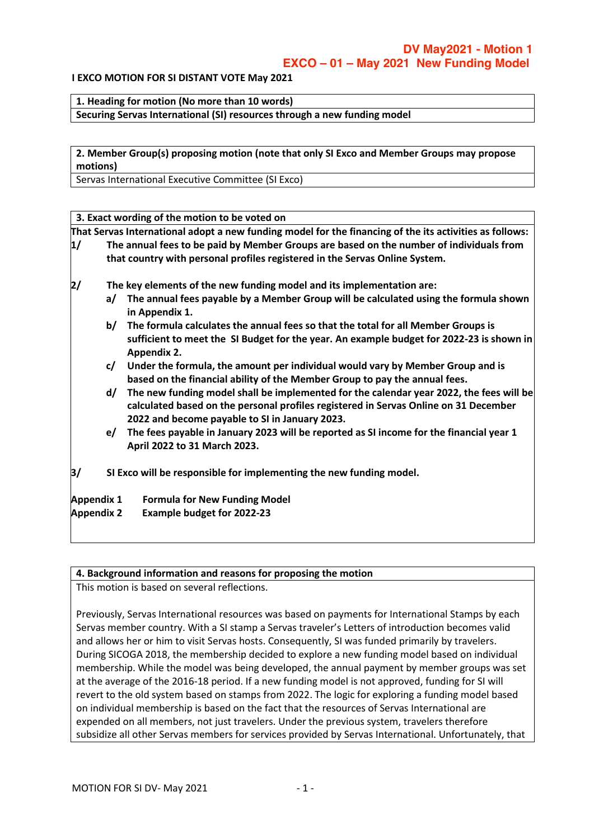#### **I EXCO MOTION FOR SI DISTANT VOTE May 2021**

**1. Heading for motion (No more than 10 words)**

**Securing Servas International (SI) resources through a new funding model**

**2. Member Group(s) proposing motion (note that only SI Exco and Member Groups may propose motions)**

Servas International Executive Committee (SI Exco)

**3. Exact wording of the motion to be voted on**

**That Servas International adopt a new funding model for the financing of the its activities as follows:**

- **1/ The annual fees to be paid by Member Groups are based on the number of individuals from that country with personal profiles registered in the Servas Online System.**
- **2/ The key elements of the new funding model and its implementation are:**
	- **a/ The annual fees payable by a Member Group will be calculated using the formula shown in Appendix 1.**
	- **b/ The formula calculates the annual fees so that the total for all Member Groups is sufficient to meet the SI Budget for the year. An example budget for 2022-23 is shown in Appendix 2.**
	- **c/ Under the formula, the amount per individual would vary by Member Group and is based on the financial ability of the Member Group to pay the annual fees.**
	- **d/ The new funding model shall be implemented for the calendar year 2022, the fees will be calculated based on the personal profiles registered in Servas Online on 31 December 2022 and become payable to SI in January 2023.**
	- **e/ The fees payable in January 2023 will be reported as SI income for the financial year 1 April 2022 to 31 March 2023.**
- **3/ SI Exco will be responsible for implementing the new funding model.**

**Appendix 1 Formula for New Funding Model**

**Appendix 2 Example budget for 2022-23**

#### **4. Background information and reasons for proposing the motion**

This motion is based on several reflections.

Previously, Servas International resources was based on payments for International Stamps by each Servas member country. With a SI stamp a Servas traveler's Letters of introduction becomes valid and allows her or him to visit Servas hosts. Consequently, SI was funded primarily by travelers. During SICOGA 2018, the membership decided to explore a new funding model based on individual membership. While the model was being developed, the annual payment by member groups was set at the average of the 2016-18 period. If a new funding model is not approved, funding for SI will revert to the old system based on stamps from 2022. The logic for exploring a funding model based on individual membership is based on the fact that the resources of Servas International are expended on all members, not just travelers. Under the previous system, travelers therefore subsidize all other Servas members for services provided by Servas International. Unfortunately, that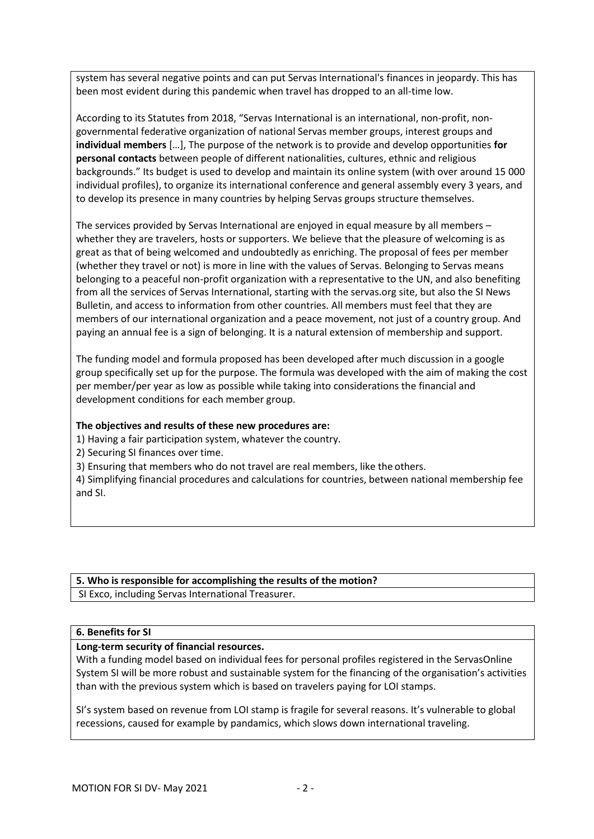system has several negative points and can put Servas International's finances in jeopardy. This has been most evident during this pandemic when travel has dropped to an all-time low.

According to its Statutes from 2018, "Servas International is an international, non-profit, nongovernmental federative organization of national Servas member groups, interest groups and **individual members** […], The purpose of the network is to provide and develop opportunities **for personal contacts** between people of different nationalities, cultures, ethnic and religious backgrounds." Its budget is used to develop and maintain its online system (with over around 15 000 individual profiles), to organize its international conference and general assembly every 3 years, and to develop its presence in many countries by helping Servas groups structure themselves.

The services provided by Servas International are enjoyed in equal measure by all members – whether they are travelers, hosts or supporters. We believe that the pleasure of welcoming is as great as that of being welcomed and undoubtedly as enriching. The proposal of fees per member (whether they travel or not) is more in line with the values of Servas. Belonging to Servas means belonging to a peaceful non-profit organization with a representative to the UN, and also benefiting from all the services of Servas International, starting with the servas.org site, but also the SI News Bulletin, and access to information from other countries. All members must feel that they are members of our international organization and a peace movement, not just of a country group. And paying an annual fee is a sign of belonging. It is a natural extension of membership and support.

The funding model and formula proposed has been developed after much discussion in a google group specifically set up for the purpose. The formula was developed with the aim of making the cost per member/per year as low as possible while taking into considerations the financial and development conditions for each member group.

#### **The objectives and results of these new procedures are:**

1) Having a fair participation system, whatever the country.

- 2) Securing SI finances over time.
- 3) Ensuring that members who do not travel are real members, like the others.

4) Simplifying financial procedures and calculations for countries, between national membership fee and SI.

# **5. Who is responsible for accomplishing the results of the motion?**

SI Exco, including Servas International Treasurer.

#### **6. Benefits for SI**

## **Long-term security of financial resources.**

With a funding model based on individual fees for personal profiles registered in the ServasOnline System SI will be more robust and sustainable system for the financing of the organisation's activities than with the previous system which is based on travelers paying for LOI stamps.

SI's system based on revenue from LOI stamp is fragile for several reasons. It's vulnerable to global recessions, caused for example by pandamics, which slows down international traveling.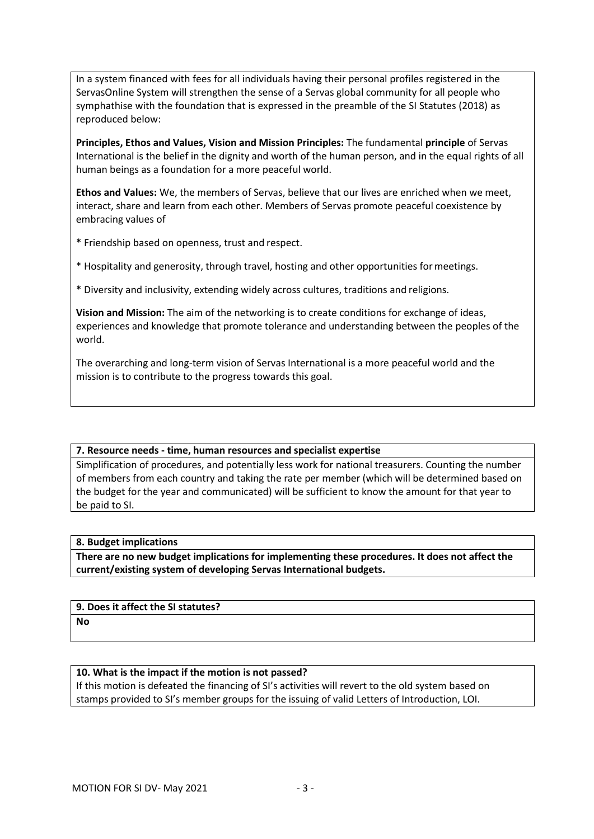In a system financed with fees for all individuals having their personal profiles registered in the ServasOnline System will strengthen the sense of a Servas global community for all people who symphathise with the foundation that is expressed in the preamble of the SI Statutes (2018) as reproduced below:

**Principles, Ethos and Values, Vision and Mission Principles:** The fundamental **principle** of Servas International is the belief in the dignity and worth of the human person, and in the equal rights of all human beings as a foundation for a more peaceful world.

**Ethos and Values:** We, the members of Servas, believe that our lives are enriched when we meet, interact, share and learn from each other. Members of Servas promote peaceful coexistence by embracing values of

\* Friendship based on openness, trust and respect.

\* Hospitality and generosity, through travel, hosting and other opportunities formeetings.

\* Diversity and inclusivity, extending widely across cultures, traditions and religions.

**Vision and Mission:** The aim of the networking is to create conditions for exchange of ideas, experiences and knowledge that promote tolerance and understanding between the peoples of the world.

The overarching and long-term vision of Servas International is a more peaceful world and the mission is to contribute to the progress towards this goal.

#### **7. Resource needs - time, human resources and specialist expertise**

Simplification of procedures, and potentially less work for national treasurers. Counting the number of members from each country and taking the rate per member (which will be determined based on the budget for the year and communicated) will be sufficient to know the amount for that year to be paid to SI.

#### **8. Budget implications**

**There are no new budget implications for implementing these procedures. It does not affect the current/existing system of developing Servas International budgets.**

## **9. Does it affect the SI statutes?**

**No**

## **10. What is the impact if the motion is not passed?**

If this motion is defeated the financing of SI's activities will revert to the old system based on stamps provided to SI's member groups for the issuing of valid Letters of Introduction, LOI.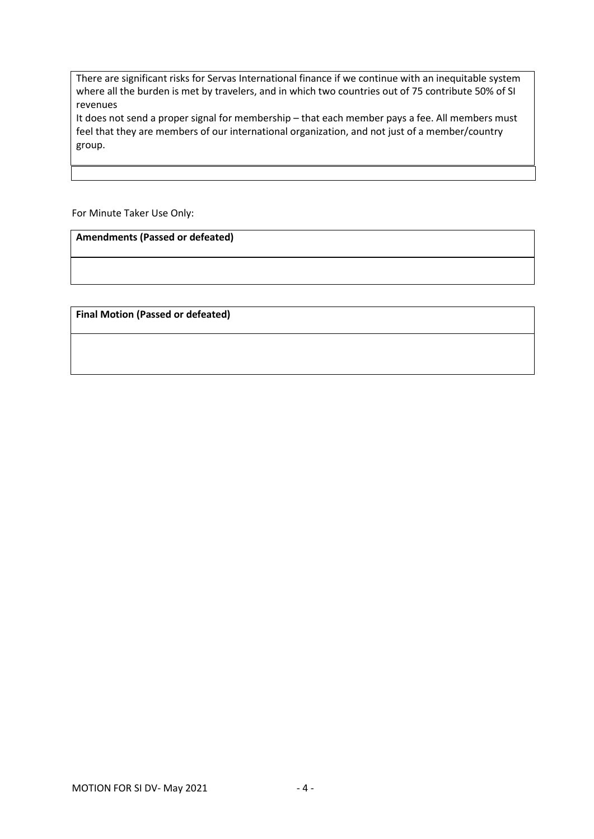There are significant risks for Servas International finance if we continue with an inequitable system where all the burden is met by travelers, and in which two countries out of 75 contribute 50% of SI revenues

It does not send a proper signal for membership – that each member pays a fee. All members must feel that they are members of our international organization, and not just of a member/country group.

For Minute Taker Use Only:

**Amendments (Passed or defeated)**

**Final Motion (Passed or defeated)**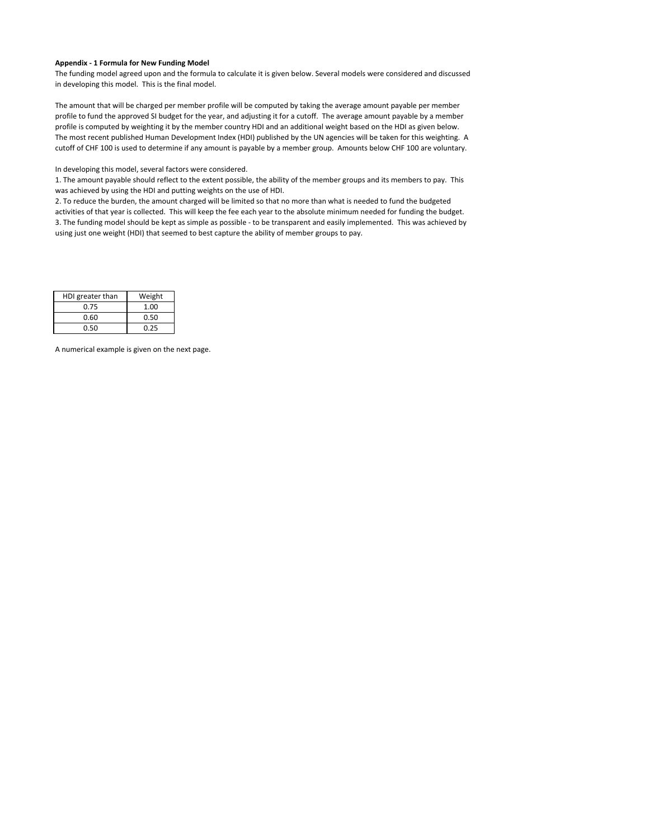#### **Appendix ‐ 1 Formula for New Funding Model**

The funding model agreed upon and the formula to calculate it is given below. Several models were considered and discussed in developing this model. This is the final model.

The amount that will be charged per member profile will be computed by taking the average amount payable per member profile to fund the approved SI budget for the year, and adjusting it for a cutoff. The average amount payable by a member profile is computed by weighting it by the member country HDI and an additional weight based on the HDI as given below. The most recent published Human Development Index (HDI) published by the UN agencies will be taken for this weighting. A cutoff of CHF 100 is used to determine if any amount is payable by a member group. Amounts below CHF 100 are voluntary.

In developing this model, several factors were considered.

1. The amount payable should reflect to the extent possible, the ability of the member groups and its members to pay. This was achieved by using the HDI and putting weights on the use of HDI.

2. To reduce the burden, the amount charged will be limited so that no more than what is needed to fund the budgeted activities of that year is collected. This will keep the fee each year to the absolute minimum needed for funding the budget. 3. The funding model should be kept as simple as possible ‐ to be transparent and easily implemented. This was achieved by using just one weight (HDI) that seemed to best capture the ability of member groups to pay.

| HDI greater than | Weight |
|------------------|--------|
| 0.75             | 1.00   |
| 0.60             | 0.50   |
| 0.50             | 0.25   |

A numerical example is given on the next page.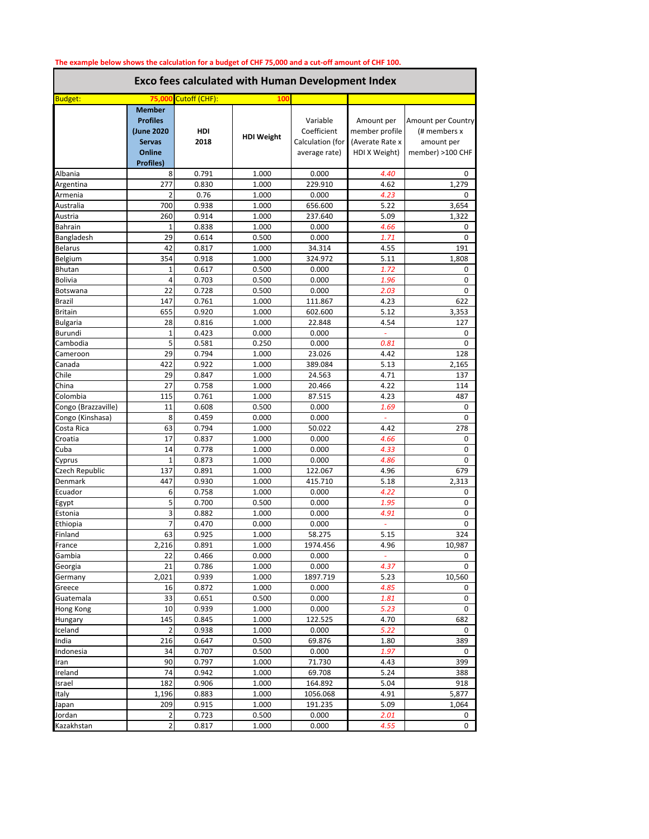| The example below shows the calculation for a budget of CHF 75,000 and a cut-off amount of CHF 100.<br><b>Exco fees calculated with Human Development Index</b> |                                                                           |                |                   |                                                              |                                                                  |                                                                      |
|-----------------------------------------------------------------------------------------------------------------------------------------------------------------|---------------------------------------------------------------------------|----------------|-------------------|--------------------------------------------------------------|------------------------------------------------------------------|----------------------------------------------------------------------|
|                                                                                                                                                                 |                                                                           |                |                   |                                                              | <b>Budget:</b>                                                   | 75,00                                                                |
|                                                                                                                                                                 | <b>Member</b><br><b>Profiles</b><br>(June 2020<br><b>Servas</b><br>Online | HDI<br>2018    | <b>HDI Weight</b> | Variable<br>Coefficient<br>Calculation (for<br>average rate) | Amount per<br>member profile<br>(Averate Rate x<br>HDI X Weight) | Amount per Country<br>(# members x<br>amount per<br>member) >100 CHF |
| Albania                                                                                                                                                         | <b>Profiles)</b><br>8                                                     | 0.791          | 1.000             | 0.000                                                        | 4.40                                                             | 0                                                                    |
| Argentina                                                                                                                                                       | 277                                                                       | 0.830          | 1.000             | 229.910                                                      | 4.62                                                             | 1,279                                                                |
| Armenia                                                                                                                                                         | 2                                                                         | 0.76           | 1.000             | 0.000                                                        | 4.23                                                             | 0                                                                    |
| Australia                                                                                                                                                       | 700                                                                       | 0.938          | 1.000             | 656.600                                                      | 5.22                                                             | 3,654                                                                |
| Austria                                                                                                                                                         | 260                                                                       | 0.914          | 1.000             | 237.640                                                      | 5.09                                                             | 1,322                                                                |
| Bahrain                                                                                                                                                         | 1                                                                         | 0.838          | 1.000             | 0.000                                                        | 4.66                                                             | 0                                                                    |
| Bangladesh                                                                                                                                                      | 29                                                                        | 0.614          | 0.500             | 0.000                                                        | 1.71                                                             | 0                                                                    |
| Belarus                                                                                                                                                         | 42                                                                        | 0.817          | 1.000             | 34.314                                                       | 4.55                                                             | 191                                                                  |
| Belgium                                                                                                                                                         | 354                                                                       | 0.918          | 1.000             | 324.972                                                      | 5.11                                                             | 1,808                                                                |
| Bhutan                                                                                                                                                          | 1                                                                         | 0.617          | 0.500             | 0.000                                                        | 1.72                                                             | 0                                                                    |
| Bolivia                                                                                                                                                         | 4                                                                         | 0.703          | 0.500             | 0.000                                                        | 1.96                                                             | 0                                                                    |
| Botswana                                                                                                                                                        | 22                                                                        | 0.728          | 0.500             | 0.000                                                        | 2.03                                                             | 0                                                                    |
| Brazil                                                                                                                                                          | 147                                                                       | 0.761          | 1.000             | 111.867                                                      | 4.23                                                             | 622                                                                  |
| <b>Britain</b>                                                                                                                                                  | 655                                                                       | 0.920          | 1.000             | 602.600                                                      | 5.12                                                             | 3,353                                                                |
| Bulgaria                                                                                                                                                        | 28                                                                        | 0.816          | 1.000             | 22.848                                                       | 4.54                                                             | 127                                                                  |
| Burundi                                                                                                                                                         | 1                                                                         | 0.423          | 0.000             | 0.000                                                        | ÷                                                                | 0                                                                    |
| Cambodia                                                                                                                                                        | 5                                                                         | 0.581          | 0.250             | 0.000                                                        | 0.81                                                             | 0                                                                    |
| Cameroon                                                                                                                                                        | 29                                                                        | 0.794          | 1.000             | 23.026                                                       | 4.42                                                             | 128                                                                  |
| Canada                                                                                                                                                          | 422                                                                       | 0.922          | 1.000             | 389.084                                                      | 5.13                                                             | 2,165                                                                |
| Chile                                                                                                                                                           | 29                                                                        | 0.847          | 1.000             | 24.563                                                       | 4.71                                                             | 137                                                                  |
| China                                                                                                                                                           | 27                                                                        | 0.758          | 1.000             | 20.466                                                       | 4.22                                                             | 114                                                                  |
| Colombia                                                                                                                                                        | 115                                                                       | 0.761          | 1.000             | 87.515                                                       | 4.23                                                             | 487                                                                  |
| Congo (Brazzaville)                                                                                                                                             | 11                                                                        | 0.608          | 0.500             | 0.000                                                        | 1.69                                                             | 0                                                                    |
| Congo (Kinshasa)                                                                                                                                                | 8                                                                         | 0.459          | 0.000             | 0.000                                                        | $\omega$                                                         | 0                                                                    |
| Costa Rica                                                                                                                                                      | 63                                                                        | 0.794          | 1.000             | 50.022                                                       | 4.42                                                             | 278                                                                  |
| Croatia                                                                                                                                                         | 17                                                                        | 0.837          | 1.000             | 0.000                                                        | 4.66                                                             | 0                                                                    |
| Cuba                                                                                                                                                            | 14                                                                        | 0.778          | 1.000             | 0.000                                                        | 4.33                                                             | 0                                                                    |
| Cyprus                                                                                                                                                          | $\mathbf{1}$                                                              | 0.873          | 1.000             | 0.000                                                        | 4.86                                                             | 0                                                                    |
| Czech Republic                                                                                                                                                  | 137                                                                       | 0.891          | 1.000             | 122.067                                                      | 4.96                                                             | 679                                                                  |
| Denmark                                                                                                                                                         | 447                                                                       | 0.930          | 1.000             | 415.710                                                      | 5.18                                                             | 2,313                                                                |
| Ecuador                                                                                                                                                         | 6                                                                         | 0.758          | 1.000             | 0.000                                                        | 4.22                                                             | 0                                                                    |
| Egypt                                                                                                                                                           | 5                                                                         | 0.700<br>0.882 | 0.500             | 0.000                                                        | 1.95                                                             | 0                                                                    |
| Estonia                                                                                                                                                         | 3                                                                         |                | 1.000             | 0.000                                                        | 4.91                                                             | 0                                                                    |
| Ethiopia<br>Finland                                                                                                                                             | 7<br>63                                                                   | 0.470<br>0.925 | 0.000<br>1.000    | 0.000<br>58.275                                              | $\overline{\phantom{a}}$<br>5.15                                 | 0<br>324                                                             |
| France                                                                                                                                                          | 2,216                                                                     | 0.891          | 1.000             | 1974.456                                                     | 4.96                                                             | 10,987                                                               |
| Gambia                                                                                                                                                          | 22                                                                        | 0.466          | 0.000             | 0.000                                                        |                                                                  | 0                                                                    |
| Georgia                                                                                                                                                         | 21                                                                        | 0.786          | 1.000             | 0.000                                                        | 4.37                                                             | 0                                                                    |
| Germany                                                                                                                                                         | 2,021                                                                     | 0.939          | 1.000             | 1897.719                                                     | 5.23                                                             | 10,560                                                               |
| Greece                                                                                                                                                          | 16                                                                        | 0.872          | 1.000             | 0.000                                                        | 4.85                                                             | 0                                                                    |
| Guatemala                                                                                                                                                       | 33                                                                        | 0.651          | 0.500             | 0.000                                                        | 1.81                                                             | 0                                                                    |
| Hong Kong                                                                                                                                                       | 10                                                                        | 0.939          | 1.000             | 0.000                                                        | 5.23                                                             | 0                                                                    |
| Hungary                                                                                                                                                         | 145                                                                       | 0.845          | 1.000             | 122.525                                                      | 4.70                                                             | 682                                                                  |
| Iceland                                                                                                                                                         | $\overline{2}$                                                            | 0.938          | 1.000             | 0.000                                                        | 5.22                                                             | 0                                                                    |
| India                                                                                                                                                           | 216                                                                       | 0.647          | 0.500             | 69.876                                                       | 1.80                                                             | 389                                                                  |
| Indonesia                                                                                                                                                       | 34                                                                        | 0.707          | 0.500             | 0.000                                                        | 1.97                                                             | 0                                                                    |
| Iran                                                                                                                                                            | 90                                                                        | 0.797          | 1.000             | 71.730                                                       | 4.43                                                             | 399                                                                  |
| Ireland                                                                                                                                                         | 74                                                                        | 0.942          | 1.000             | 69.708                                                       | 5.24                                                             | 388                                                                  |
| Israel                                                                                                                                                          | 182                                                                       | 0.906          | 1.000             | 164.892                                                      | 5.04                                                             | 918                                                                  |
| Italy                                                                                                                                                           | 1,196                                                                     | 0.883          | 1.000             | 1056.068                                                     | 4.91                                                             | 5,877                                                                |
| Japan                                                                                                                                                           | 209                                                                       | 0.915          | 1.000             | 191.235                                                      | 5.09                                                             | 1,064                                                                |
| Jordan                                                                                                                                                          | 2                                                                         | 0.723          | 0.500             | 0.000                                                        | 2.01                                                             | 0                                                                    |

Kazakhstan | 2 0.817 | 1.000 | 0.000 | *4.55* | 0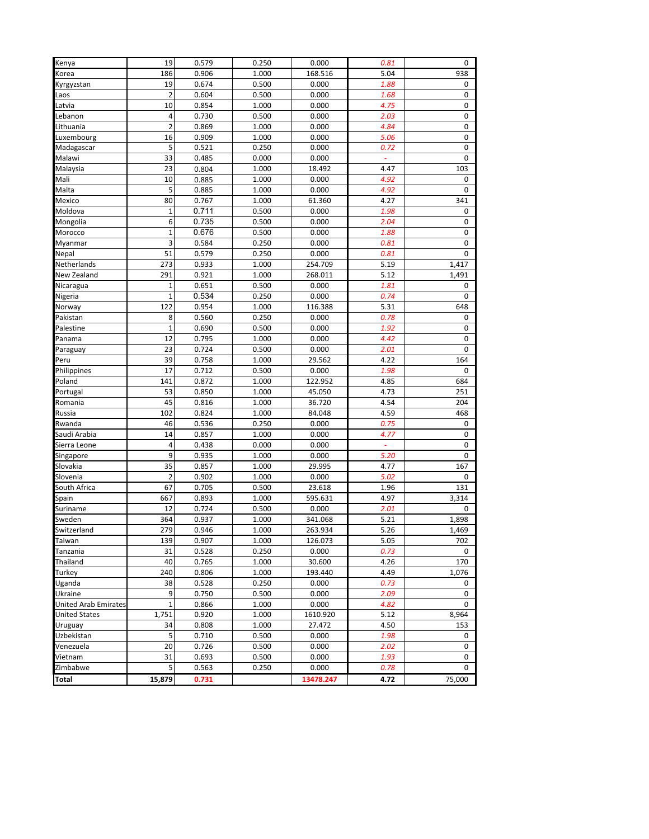| Kenya                       | 19             | 0.579 | 0.250 | 0.000     | 0.81     | 0      |
|-----------------------------|----------------|-------|-------|-----------|----------|--------|
| Korea                       | 186            | 0.906 | 1.000 | 168.516   | 5.04     | 938    |
| Kyrgyzstan                  | 19             | 0.674 | 0.500 | 0.000     | 1.88     | 0      |
| Laos                        | $\overline{2}$ | 0.604 | 0.500 | 0.000     | 1.68     | 0      |
| Latvia                      | 10             | 0.854 | 1.000 | 0.000     | 4.75     | 0      |
| Lebanon                     | $\overline{4}$ | 0.730 | 0.500 | 0.000     | 2.03     | 0      |
| Lithuania                   | $\overline{2}$ | 0.869 | 1.000 | 0.000     | 4.84     | 0      |
| Luxembourg                  | 16             | 0.909 | 1.000 | 0.000     | 5.06     | 0      |
| Madagascar                  | 5              | 0.521 | 0.250 | 0.000     | 0.72     | 0      |
| Malawi                      | 33             | 0.485 | 0.000 | 0.000     | $\omega$ | 0      |
| Malaysia                    | 23             | 0.804 | 1.000 | 18.492    | 4.47     | 103    |
|                             |                |       |       |           |          |        |
| Mali                        | 10             | 0.885 | 1.000 | 0.000     | 4.92     | 0      |
| Malta                       | 5              | 0.885 | 1.000 | 0.000     | 4.92     | 0      |
| Mexico                      | 80             | 0.767 | 1.000 | 61.360    | 4.27     | 341    |
| Moldova                     | $1\,$          | 0.711 | 0.500 | 0.000     | 1.98     | 0      |
| Mongolia                    | 6              | 0.735 | 0.500 | 0.000     | 2.04     | 0      |
| Morocco                     | $\mathbf{1}$   | 0.676 | 0.500 | 0.000     | 1.88     | 0      |
| Myanmar                     | 3              | 0.584 | 0.250 | 0.000     | 0.81     | 0      |
| Nepal                       | 51             | 0.579 | 0.250 | 0.000     | 0.81     | 0      |
| Netherlands                 | 273            | 0.933 | 1.000 | 254.709   | 5.19     | 1,417  |
| New Zealand                 | 291            | 0.921 | 1.000 | 268.011   | 5.12     | 1,491  |
| Nicaragua                   | 1              | 0.651 | 0.500 | 0.000     | 1.81     | 0      |
| Nigeria                     | $\mathbf{1}$   | 0.534 | 0.250 | 0.000     | 0.74     | 0      |
| Norway                      | 122            | 0.954 | 1.000 | 116.388   | 5.31     | 648    |
| Pakistan                    | 8              | 0.560 | 0.250 | 0.000     | 0.78     | 0      |
| Palestine                   | $1\,$          | 0.690 | 0.500 | 0.000     | 1.92     | 0      |
| Panama                      | 12             | 0.795 | 1.000 | 0.000     | 4.42     | 0      |
| Paraguay                    | 23             | 0.724 | 0.500 | 0.000     | 2.01     | 0      |
| Peru                        | 39             | 0.758 | 1.000 | 29.562    | 4.22     | 164    |
| Philippines                 | 17             | 0.712 | 0.500 | 0.000     | 1.98     | 0      |
| Poland                      | 141            | 0.872 | 1.000 | 122.952   | 4.85     | 684    |
| Portugal                    | 53             | 0.850 | 1.000 | 45.050    | 4.73     | 251    |
| Romania                     | 45             | 0.816 | 1.000 | 36.720    | 4.54     | 204    |
| Russia                      | 102            | 0.824 | 1.000 | 84.048    | 4.59     | 468    |
| Rwanda                      | 46             | 0.536 | 0.250 | 0.000     | 0.75     | 0      |
| Saudi Arabia                | 14             | 0.857 | 1.000 | 0.000     | 4.77     | 0      |
| Sierra Leone                | 4              | 0.438 | 0.000 | 0.000     | ÷        | 0      |
| Singapore                   | 9              | 0.935 | 1.000 | 0.000     | 5.20     | 0      |
| Slovakia                    | 35             | 0.857 | 1.000 | 29.995    | 4.77     | 167    |
| Slovenia                    | 2              | 0.902 | 1.000 | 0.000     | 5.02     | 0      |
| South Africa                | 67             | 0.705 | 0.500 | 23.618    | 1.96     | 131    |
| Spain                       | 667            | 0.893 | 1.000 | 595.631   | 4.97     | 3,314  |
| Suriname                    | 12             | 0.724 | 0.500 | 0.000     | 2.01     | 0      |
| Sweden                      | 364            | 0.937 | 1.000 | 341.068   | 5.21     | 1,898  |
| Switzerland                 | 279            | 0.946 | 1.000 | 263.934   | 5.26     | 1.469  |
| Taiwan                      | 139            | 0.907 | 1.000 | 126.073   | 5.05     | 702    |
| Tanzania                    | 31             | 0.528 | 0.250 | 0.000     | 0.73     | 0      |
| Thailand                    | 40             | 0.765 | 1.000 | 30.600    | 4.26     | 170    |
| Turkey                      | 240            | 0.806 | 1.000 | 193.440   | 4.49     | 1,076  |
| Uganda                      | 38             | 0.528 | 0.250 | 0.000     | 0.73     | 0      |
| Ukraine                     | 9              | 0.750 | 0.500 | 0.000     | 2.09     | 0      |
| <b>United Arab Emirates</b> | 1              | 0.866 | 1.000 | 0.000     | 4.82     | 0      |
| <b>United States</b>        | 1,751          | 0.920 | 1.000 | 1610.920  | 5.12     | 8,964  |
| Uruguay                     | 34             | 0.808 | 1.000 | 27.472    | 4.50     | 153    |
| Uzbekistan                  | 5              | 0.710 | 0.500 | 0.000     |          | 0      |
|                             |                |       |       |           | 1.98     |        |
| Venezuela                   | 20             | 0.726 | 0.500 | 0.000     | 2.02     | 0      |
| Vietnam                     | 31             | 0.693 | 0.500 | 0.000     | 1.93     | 0      |
| Zimbabwe                    | 5              | 0.563 | 0.250 | 0.000     | 0.78     | 0      |
| Total                       | 15,879         | 0.731 |       | 13478.247 | 4.72     | 75,000 |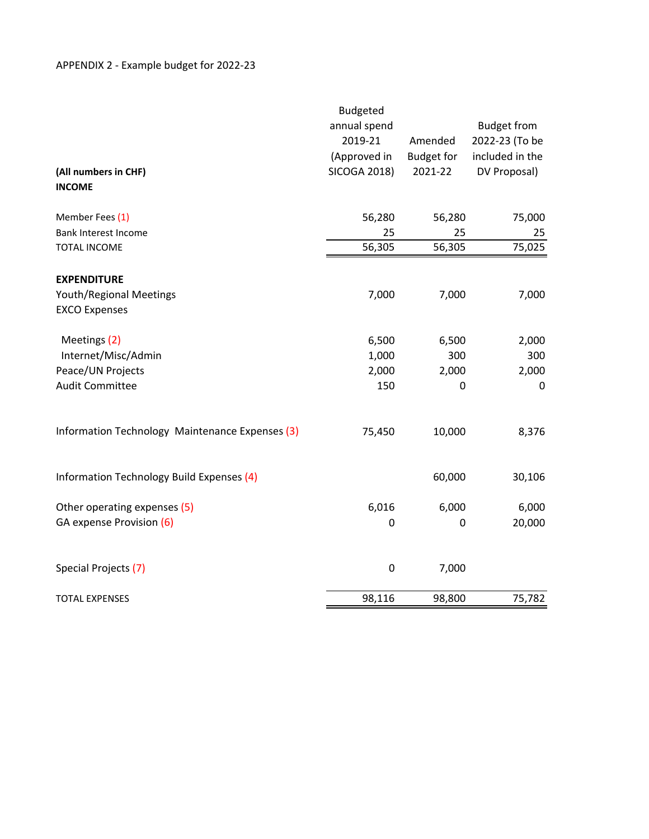|                                                 | <b>Budgeted</b><br>annual spend |                   | <b>Budget from</b> |
|-------------------------------------------------|---------------------------------|-------------------|--------------------|
|                                                 | 2019-21                         | Amended           | 2022-23 (To be     |
|                                                 | (Approved in                    | <b>Budget for</b> | included in the    |
| (All numbers in CHF)                            | <b>SICOGA 2018)</b>             | 2021-22           | DV Proposal)       |
| <b>INCOME</b>                                   |                                 |                   |                    |
| Member Fees (1)                                 | 56,280                          | 56,280            | 75,000             |
| Bank Interest Income                            | 25                              | 25                | 25                 |
| <b>TOTAL INCOME</b>                             | 56,305                          | 56,305            | 75,025             |
| <b>EXPENDITURE</b>                              |                                 |                   |                    |
| <b>Youth/Regional Meetings</b>                  | 7,000                           | 7,000             | 7,000              |
| <b>EXCO Expenses</b>                            |                                 |                   |                    |
| Meetings (2)                                    | 6,500                           | 6,500             | 2,000              |
| Internet/Misc/Admin                             | 1,000                           | 300               | 300                |
| Peace/UN Projects                               | 2,000                           | 2,000             | 2,000              |
| <b>Audit Committee</b>                          | 150                             | 0                 | $\mathbf 0$        |
| Information Technology Maintenance Expenses (3) | 75,450                          | 10,000            | 8,376              |
| Information Technology Build Expenses (4)       |                                 | 60,000            | 30,106             |
| Other operating expenses (5)                    | 6,016                           | 6,000             | 6,000              |
| GA expense Provision (6)                        | 0                               | 0                 | 20,000             |
| Special Projects (7)                            | $\pmb{0}$                       | 7,000             |                    |
| <b>TOTAL EXPENSES</b>                           | 98,116                          | 98,800            | 75,782             |